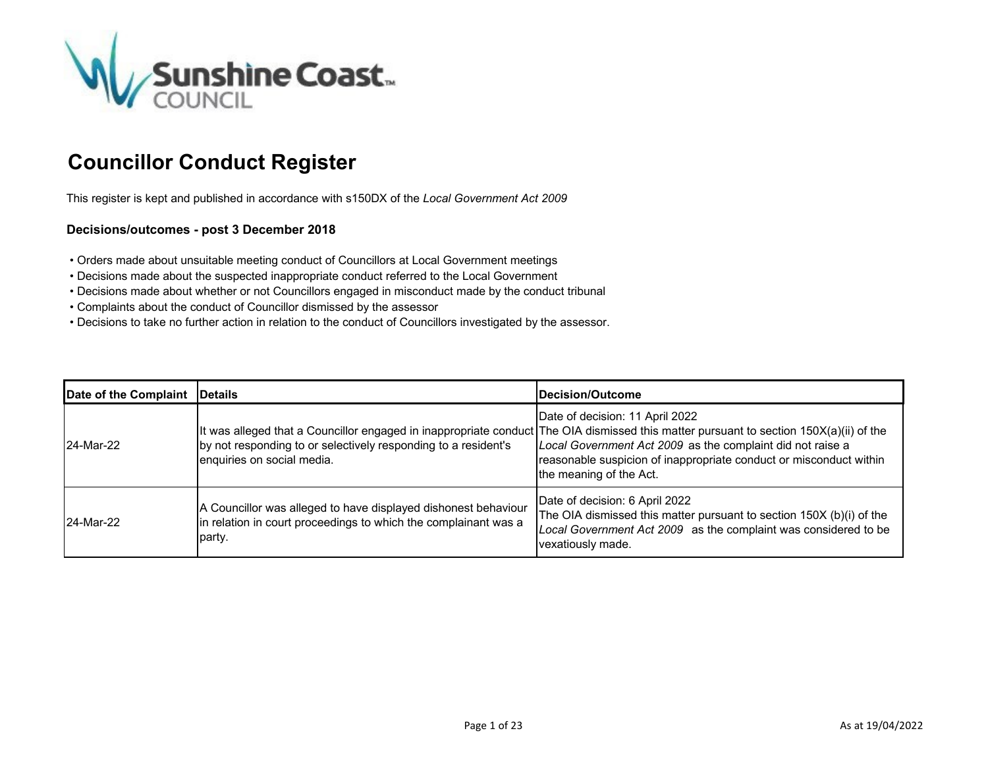

## **Councillor Conduct Register**

This register is kept and published in accordance with s150DX of the *Local Government Act 2009*

## **Decisions/outcomes - post 3 December 2018**

- Orders made about unsuitable meeting conduct of Councillors at Local Government meetings
- Decisions made about the suspected inappropriate conduct referred to the Local Government
- Decisions made about whether or not Councillors engaged in misconduct made by the conduct tribunal
- Complaints about the conduct of Councillor dismissed by the assessor
- Decisions to take no further action in relation to the conduct of Councillors investigated by the assessor.

| Date of the Complaint   Details |                                                                                                                                             | <b>IDecision/Outcome</b>                                                                                                                                                                                                                                                                                                                 |
|---------------------------------|---------------------------------------------------------------------------------------------------------------------------------------------|------------------------------------------------------------------------------------------------------------------------------------------------------------------------------------------------------------------------------------------------------------------------------------------------------------------------------------------|
| 24-Mar-22                       | by not responding to or selectively responding to a resident's<br>enquiries on social media.                                                | Date of decision: 11 April 2022<br>It was alleged that a Councillor engaged in inappropriate conduct The OIA dismissed this matter pursuant to section 150X(a)(ii) of the<br>Local Government Act 2009 as the complaint did not raise a<br>reasonable suspicion of inappropriate conduct or misconduct within<br>the meaning of the Act. |
| 24-Mar-22                       | A Councillor was alleged to have displayed dishonest behaviour<br>in relation in court proceedings to which the complainant was a<br>party. | Date of decision: 6 April 2022<br>The OIA dismissed this matter pursuant to section 150X (b)(i) of the<br>Local Government Act 2009 as the complaint was considered to be<br>vexatiously made.                                                                                                                                           |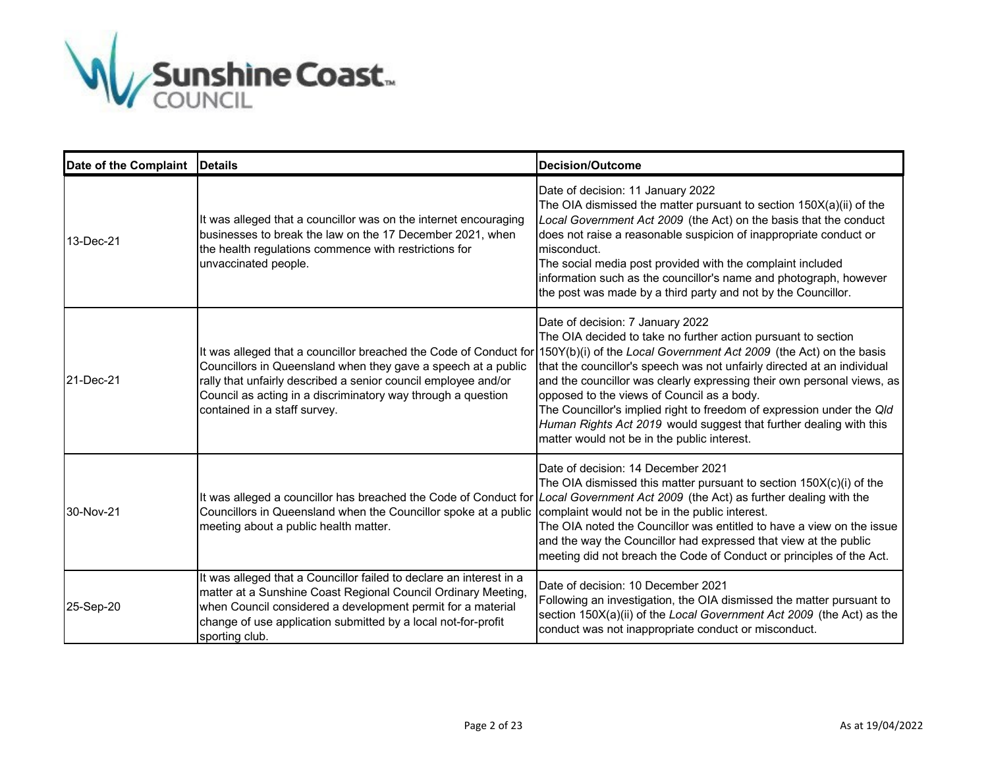

| Date of the Complaint | <b>IDetails</b>                                                                                                                                                                                                                                                                                      | <b>Decision/Outcome</b>                                                                                                                                                                                                                                                                                                                                                                                                                                                                                                                                                  |
|-----------------------|------------------------------------------------------------------------------------------------------------------------------------------------------------------------------------------------------------------------------------------------------------------------------------------------------|--------------------------------------------------------------------------------------------------------------------------------------------------------------------------------------------------------------------------------------------------------------------------------------------------------------------------------------------------------------------------------------------------------------------------------------------------------------------------------------------------------------------------------------------------------------------------|
| 13-Dec-21             | It was alleged that a councillor was on the internet encouraging<br>businesses to break the law on the 17 December 2021, when<br>the health regulations commence with restrictions for<br>unvaccinated people.                                                                                       | Date of decision: 11 January 2022<br>The OIA dismissed the matter pursuant to section $150X(a)(ii)$ of the<br>Local Government Act 2009 (the Act) on the basis that the conduct<br>does not raise a reasonable suspicion of inappropriate conduct or<br>misconduct.<br>The social media post provided with the complaint included<br>information such as the councillor's name and photograph, however<br>the post was made by a third party and not by the Councillor.                                                                                                  |
| 21-Dec-21             | It was alleged that a councillor breached the Code of Conduct for<br>Councillors in Queensland when they gave a speech at a public<br>rally that unfairly described a senior council employee and/or<br>Council as acting in a discriminatory way through a question<br>contained in a staff survey. | Date of decision: 7 January 2022<br>The OIA decided to take no further action pursuant to section<br>150Y(b)(i) of the Local Government Act 2009 (the Act) on the basis<br>that the councillor's speech was not unfairly directed at an individual<br>and the councillor was clearly expressing their own personal views, as<br>opposed to the views of Council as a body.<br>The Councillor's implied right to freedom of expression under the Qld<br>Human Rights Act 2019 would suggest that further dealing with this<br>matter would not be in the public interest. |
| 30-Nov-21             | It was alleged a councillor has breached the Code of Conduct for<br>Councillors in Queensland when the Councillor spoke at a public<br>meeting about a public health matter.                                                                                                                         | Date of decision: 14 December 2021<br>The OIA dismissed this matter pursuant to section 150X(c)(i) of the<br>Local Government Act 2009 (the Act) as further dealing with the<br>complaint would not be in the public interest.<br>The OIA noted the Councillor was entitled to have a view on the issue<br>and the way the Councillor had expressed that view at the public<br>meeting did not breach the Code of Conduct or principles of the Act.                                                                                                                      |
| 25-Sep-20             | It was alleged that a Councillor failed to declare an interest in a<br>matter at a Sunshine Coast Regional Council Ordinary Meeting,<br>when Council considered a development permit for a material<br>change of use application submitted by a local not-for-profit<br>sporting club.               | Date of decision: 10 December 2021<br>Following an investigation, the OIA dismissed the matter pursuant to<br>section 150X(a)(ii) of the Local Government Act 2009 (the Act) as the<br>conduct was not inappropriate conduct or misconduct.                                                                                                                                                                                                                                                                                                                              |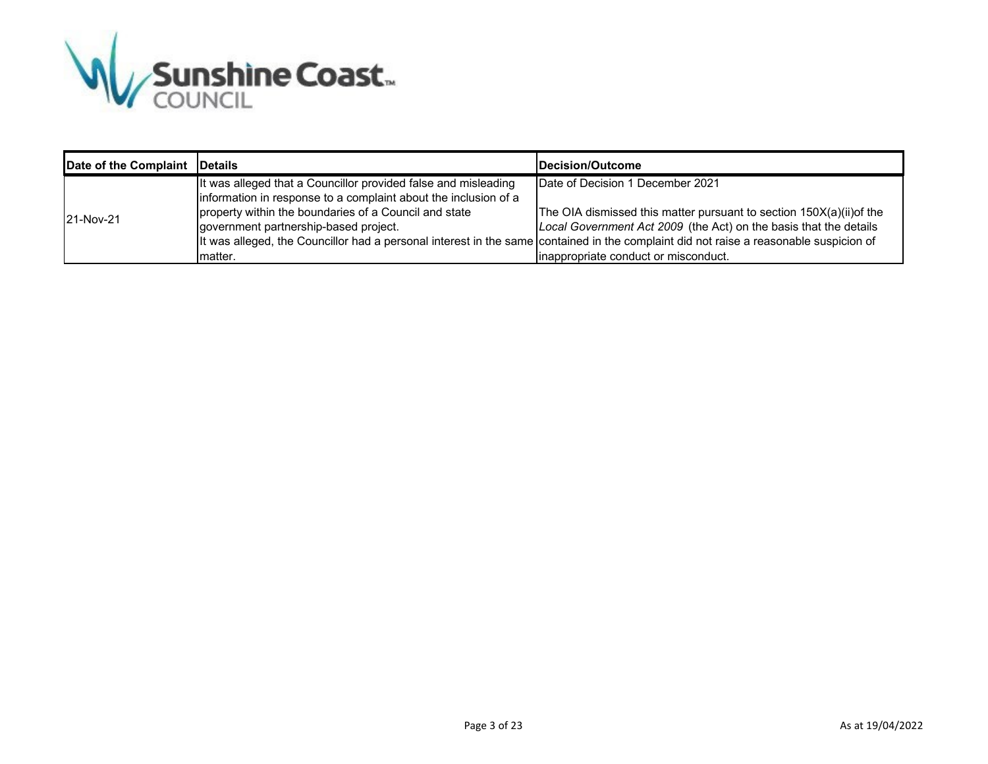

| Date of the Complaint   Details |                                                                                                                                                                                                                                                 | <b>IDecision/Outcome</b>                                                                                                                                                                                                                                                                                                                                       |
|---------------------------------|-------------------------------------------------------------------------------------------------------------------------------------------------------------------------------------------------------------------------------------------------|----------------------------------------------------------------------------------------------------------------------------------------------------------------------------------------------------------------------------------------------------------------------------------------------------------------------------------------------------------------|
| 21-Nov-21                       | It was alleged that a Councillor provided false and misleading<br>information in response to a complaint about the inclusion of a<br>property within the boundaries of a Council and state<br>government partnership-based project.<br>Imatter. | Date of Decision 1 December 2021<br>The OIA dismissed this matter pursuant to section 150X(a)(ii) of the<br>Local Government Act 2009 (the Act) on the basis that the details<br>It was alleged, the Councillor had a personal interest in the same contained in the complaint did not raise a reasonable suspicion of<br>inappropriate conduct or misconduct. |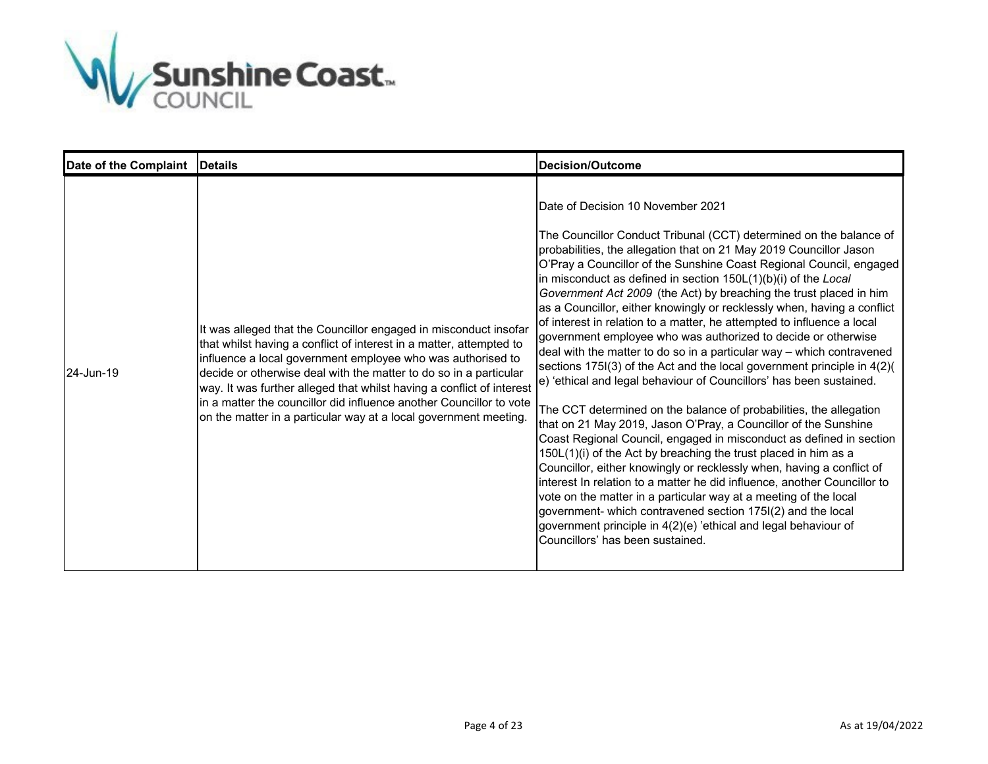

| Date of the Complaint   Details |                                                                                                                                                                                                                                                                                                                                                                                                                                                                                                 | <b>Decision/Outcome</b>                                                                                                                                                                                                                                                                                                                                                                                                                                                                                                                                                                                                                                                                                                                                                                                                                                                                                                                                                                                                                                                                                                                                                                                                                                                                                                                                                                                                                                                                                                           |
|---------------------------------|-------------------------------------------------------------------------------------------------------------------------------------------------------------------------------------------------------------------------------------------------------------------------------------------------------------------------------------------------------------------------------------------------------------------------------------------------------------------------------------------------|-----------------------------------------------------------------------------------------------------------------------------------------------------------------------------------------------------------------------------------------------------------------------------------------------------------------------------------------------------------------------------------------------------------------------------------------------------------------------------------------------------------------------------------------------------------------------------------------------------------------------------------------------------------------------------------------------------------------------------------------------------------------------------------------------------------------------------------------------------------------------------------------------------------------------------------------------------------------------------------------------------------------------------------------------------------------------------------------------------------------------------------------------------------------------------------------------------------------------------------------------------------------------------------------------------------------------------------------------------------------------------------------------------------------------------------------------------------------------------------------------------------------------------------|
| 24-Jun-19                       | It was alleged that the Councillor engaged in misconduct insofar<br>that whilst having a conflict of interest in a matter, attempted to<br>influence a local government employee who was authorised to<br>decide or otherwise deal with the matter to do so in a particular<br>way. It was further alleged that whilst having a conflict of interest<br>in a matter the councillor did influence another Councillor to vote<br>on the matter in a particular way at a local government meeting. | Date of Decision 10 November 2021<br>The Councillor Conduct Tribunal (CCT) determined on the balance of<br>probabilities, the allegation that on 21 May 2019 Councillor Jason<br>O'Pray a Councillor of the Sunshine Coast Regional Council, engaged<br>in misconduct as defined in section $150L(1)(b)(i)$ of the Local<br>Government Act 2009 (the Act) by breaching the trust placed in him<br>as a Councillor, either knowingly or recklessly when, having a conflict<br>of interest in relation to a matter, he attempted to influence a local<br>government employee who was authorized to decide or otherwise<br>deal with the matter to do so in a particular way - which contravened<br>sections 175I(3) of the Act and the local government principle in 4(2)(<br>e) 'ethical and legal behaviour of Councillors' has been sustained.<br>The CCT determined on the balance of probabilities, the allegation<br>that on 21 May 2019, Jason O'Pray, a Councillor of the Sunshine<br>Coast Regional Council, engaged in misconduct as defined in section<br>150L(1)(i) of the Act by breaching the trust placed in him as a<br>Councillor, either knowingly or recklessly when, having a conflict of<br>interest In relation to a matter he did influence, another Councillor to<br>vote on the matter in a particular way at a meeting of the local<br>government- which contravened section 175I(2) and the local<br>government principle in 4(2)(e) 'ethical and legal behaviour of<br>Councillors' has been sustained. |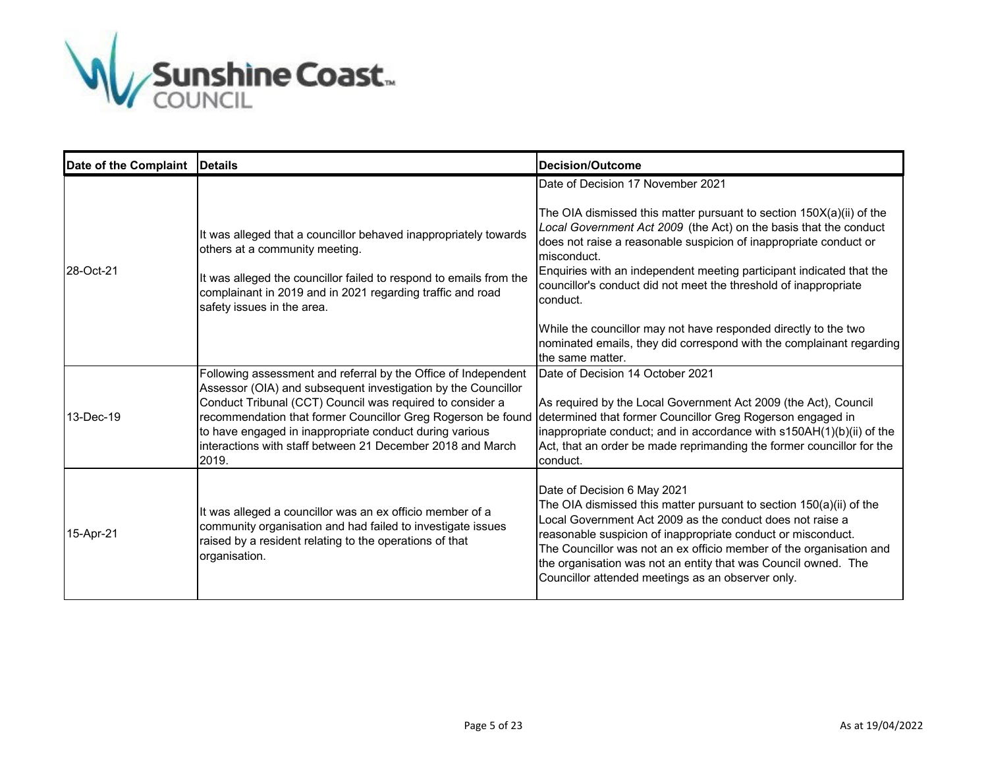

| Date of the Complaint | <b>IDetails</b>                                                                                                                                                                                                                                                                                                                                                                                 | Decision/Outcome                                                                                                                                                                                                                                                                                                                                                                                                              |
|-----------------------|-------------------------------------------------------------------------------------------------------------------------------------------------------------------------------------------------------------------------------------------------------------------------------------------------------------------------------------------------------------------------------------------------|-------------------------------------------------------------------------------------------------------------------------------------------------------------------------------------------------------------------------------------------------------------------------------------------------------------------------------------------------------------------------------------------------------------------------------|
| 28-Oct-21             | It was alleged that a councillor behaved inappropriately towards<br>others at a community meeting.<br>It was alleged the councillor failed to respond to emails from the<br>complainant in 2019 and in 2021 regarding traffic and road<br>safety issues in the area.                                                                                                                            | Date of Decision 17 November 2021<br>The OIA dismissed this matter pursuant to section $150X(a)(ii)$ of the<br>Local Government Act 2009 (the Act) on the basis that the conduct<br>does not raise a reasonable suspicion of inappropriate conduct or<br>misconduct.<br>Enquiries with an independent meeting participant indicated that the<br>councillor's conduct did not meet the threshold of inappropriate<br>conduct.  |
|                       |                                                                                                                                                                                                                                                                                                                                                                                                 | While the councillor may not have responded directly to the two<br>nominated emails, they did correspond with the complainant regarding<br>the same matter.                                                                                                                                                                                                                                                                   |
| 13-Dec-19             | Following assessment and referral by the Office of Independent<br>Assessor (OIA) and subsequent investigation by the Councillor<br>Conduct Tribunal (CCT) Council was required to consider a<br>recommendation that former Councillor Greg Rogerson be found<br>to have engaged in inappropriate conduct during various<br>linteractions with staff between 21 December 2018 and March<br>2019. | Date of Decision 14 October 2021<br>As required by the Local Government Act 2009 (the Act), Council<br>determined that former Councillor Greg Rogerson engaged in<br>inappropriate conduct; and in accordance with s150AH(1)(b)(ii) of the<br>Act, that an order be made reprimanding the former councillor for the<br>conduct.                                                                                               |
| 15-Apr-21             | It was alleged a councillor was an ex officio member of a<br>community organisation and had failed to investigate issues<br>raised by a resident relating to the operations of that<br>organisation.                                                                                                                                                                                            | Date of Decision 6 May 2021<br>The OIA dismissed this matter pursuant to section 150(a)(ii) of the<br>Local Government Act 2009 as the conduct does not raise a<br>reasonable suspicion of inappropriate conduct or misconduct.<br>The Councillor was not an ex officio member of the organisation and<br>the organisation was not an entity that was Council owned. The<br>Councillor attended meetings as an observer only. |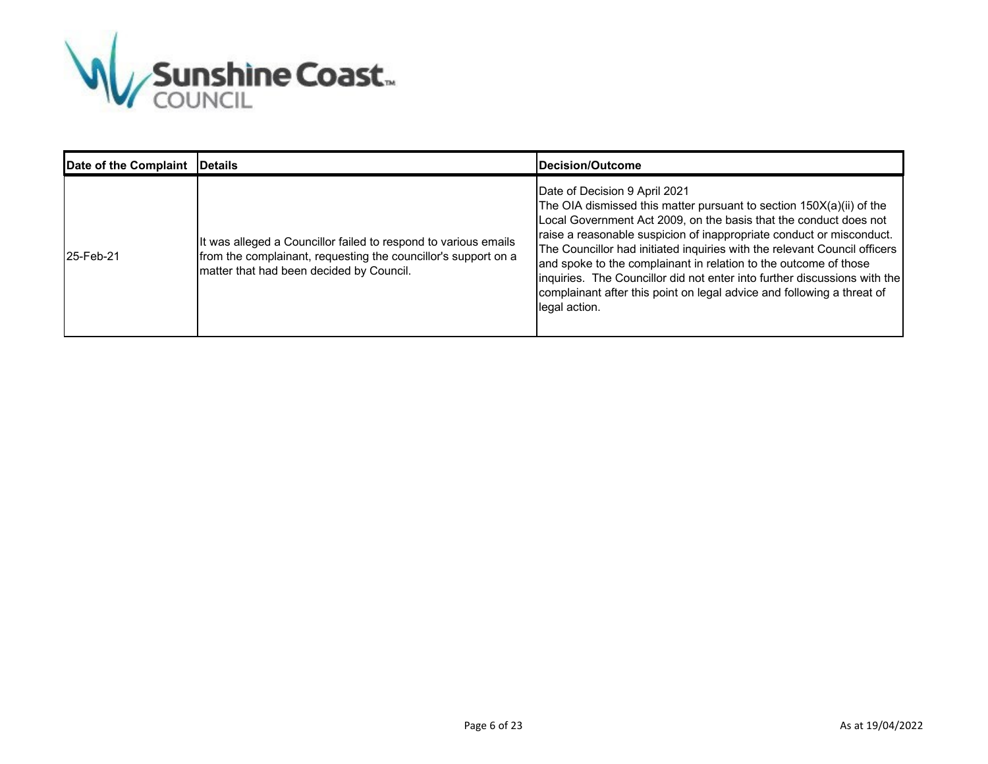

| Date of the Complaint | <b>IDetails</b>                                                                                                                                                               | <b>IDecision/Outcome</b>                                                                                                                                                                                                                                                                                                                                                                                                                                                                                                                                                      |
|-----------------------|-------------------------------------------------------------------------------------------------------------------------------------------------------------------------------|-------------------------------------------------------------------------------------------------------------------------------------------------------------------------------------------------------------------------------------------------------------------------------------------------------------------------------------------------------------------------------------------------------------------------------------------------------------------------------------------------------------------------------------------------------------------------------|
| 25-Feb-21             | It was alleged a Councillor failed to respond to various emails<br>from the complainant, requesting the councillor's support on a<br>matter that had been decided by Council. | Date of Decision 9 April 2021<br>The OIA dismissed this matter pursuant to section $150X(a)(ii)$ of the<br>Local Government Act 2009, on the basis that the conduct does not<br>raise a reasonable suspicion of inappropriate conduct or misconduct.<br>The Councillor had initiated inquiries with the relevant Council officers<br>and spoke to the complainant in relation to the outcome of those<br>inquiries. The Councillor did not enter into further discussions with the<br>complainant after this point on legal advice and following a threat of<br>legal action. |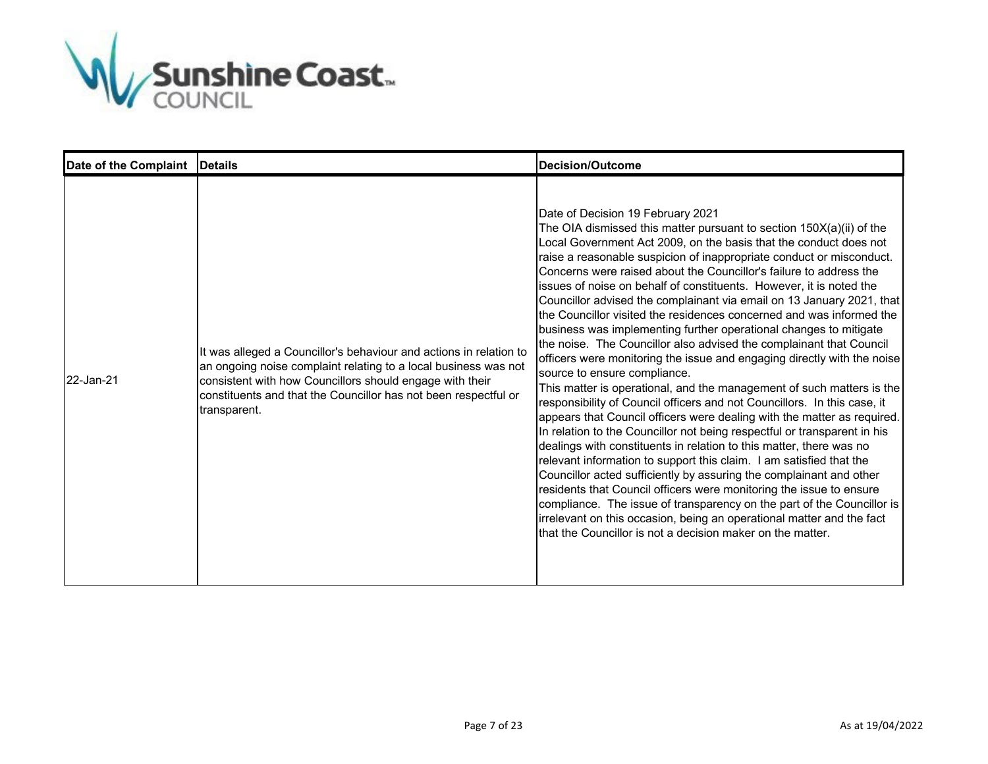

| Date of the Complaint | <b>IDetails</b>                                                                                                                                                                                                                                                                      | Decision/Outcome                                                                                                                                                                                                                                                                                                                                                                                                                                                                                                                                                                                                                                                                                                                                                                                                                                                                                                                                                                                                                                                                                                                                                                                                                                                                                                                                                                                                                                                                                                                                                                                                                     |
|-----------------------|--------------------------------------------------------------------------------------------------------------------------------------------------------------------------------------------------------------------------------------------------------------------------------------|--------------------------------------------------------------------------------------------------------------------------------------------------------------------------------------------------------------------------------------------------------------------------------------------------------------------------------------------------------------------------------------------------------------------------------------------------------------------------------------------------------------------------------------------------------------------------------------------------------------------------------------------------------------------------------------------------------------------------------------------------------------------------------------------------------------------------------------------------------------------------------------------------------------------------------------------------------------------------------------------------------------------------------------------------------------------------------------------------------------------------------------------------------------------------------------------------------------------------------------------------------------------------------------------------------------------------------------------------------------------------------------------------------------------------------------------------------------------------------------------------------------------------------------------------------------------------------------------------------------------------------------|
| 22-Jan-21             | It was alleged a Councillor's behaviour and actions in relation to<br>an ongoing noise complaint relating to a local business was not<br>consistent with how Councillors should engage with their<br>constituents and that the Councillor has not been respectful or<br>transparent. | Date of Decision 19 February 2021<br>The OIA dismissed this matter pursuant to section 150X(a)(ii) of the<br>Local Government Act 2009, on the basis that the conduct does not<br>raise a reasonable suspicion of inappropriate conduct or misconduct.<br>Concerns were raised about the Councillor's failure to address the<br>issues of noise on behalf of constituents. However, it is noted the<br>Councillor advised the complainant via email on 13 January 2021, that<br>the Councillor visited the residences concerned and was informed the<br>business was implementing further operational changes to mitigate<br>the noise. The Councillor also advised the complainant that Council<br>officers were monitoring the issue and engaging directly with the noise<br>source to ensure compliance.<br>This matter is operational, and the management of such matters is the<br>responsibility of Council officers and not Councillors. In this case, it<br>appears that Council officers were dealing with the matter as required.<br>In relation to the Councillor not being respectful or transparent in his<br>dealings with constituents in relation to this matter, there was no<br>relevant information to support this claim. I am satisfied that the<br>Councillor acted sufficiently by assuring the complainant and other<br>residents that Council officers were monitoring the issue to ensure<br>compliance. The issue of transparency on the part of the Councillor is<br>irrelevant on this occasion, being an operational matter and the fact<br>that the Councillor is not a decision maker on the matter. |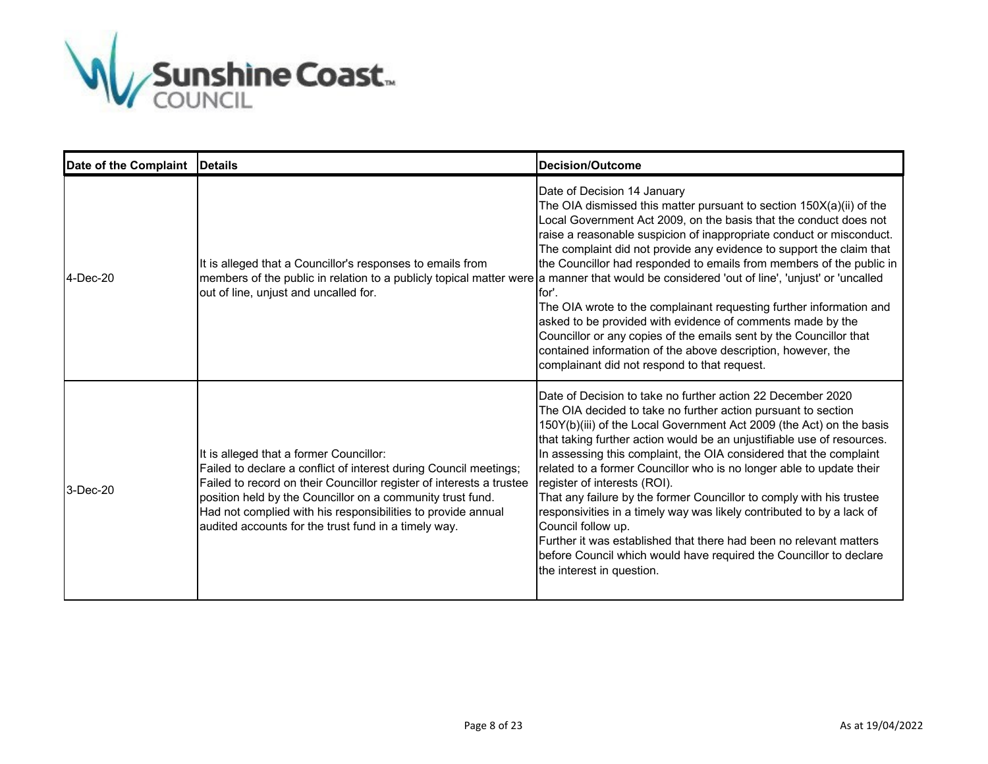

| Date of the Complaint | <b>IDetails</b>                                                                                                                                                                                                                                                                                                                                                            | <b>Decision/Outcome</b>                                                                                                                                                                                                                                                                                                                                                                                                                                                                                                                                                                                                                                                                                                                                                                                                                                                              |
|-----------------------|----------------------------------------------------------------------------------------------------------------------------------------------------------------------------------------------------------------------------------------------------------------------------------------------------------------------------------------------------------------------------|--------------------------------------------------------------------------------------------------------------------------------------------------------------------------------------------------------------------------------------------------------------------------------------------------------------------------------------------------------------------------------------------------------------------------------------------------------------------------------------------------------------------------------------------------------------------------------------------------------------------------------------------------------------------------------------------------------------------------------------------------------------------------------------------------------------------------------------------------------------------------------------|
| 4-Dec-20              | It is alleged that a Councillor's responses to emails from<br>out of line, unjust and uncalled for.                                                                                                                                                                                                                                                                        | Date of Decision 14 January<br>The OIA dismissed this matter pursuant to section $150X(a)(ii)$ of the<br>Local Government Act 2009, on the basis that the conduct does not<br>raise a reasonable suspicion of inappropriate conduct or misconduct.<br>The complaint did not provide any evidence to support the claim that<br>the Councillor had responded to emails from members of the public in<br>members of the public in relation to a publicly topical matter were a manner that would be considered 'out of line', 'unjust' or 'uncalled<br>for'.<br>The OIA wrote to the complainant requesting further information and<br>asked to be provided with evidence of comments made by the<br>Councillor or any copies of the emails sent by the Councillor that<br>contained information of the above description, however, the<br>complainant did not respond to that request. |
| 3-Dec-20              | It is alleged that a former Councillor:<br>Failed to declare a conflict of interest during Council meetings;<br>Failed to record on their Councillor register of interests a trustee<br>position held by the Councillor on a community trust fund.<br>Had not complied with his responsibilities to provide annual<br>audited accounts for the trust fund in a timely way. | Date of Decision to take no further action 22 December 2020<br>The OIA decided to take no further action pursuant to section<br>150Y(b)(iii) of the Local Government Act 2009 (the Act) on the basis<br>that taking further action would be an unjustifiable use of resources.<br>In assessing this complaint, the OIA considered that the complaint<br>related to a former Councillor who is no longer able to update their<br>register of interests (ROI).<br>That any failure by the former Councillor to comply with his trustee<br>responsivities in a timely way was likely contributed to by a lack of<br>Council follow up.<br>Further it was established that there had been no relevant matters<br>before Council which would have required the Councillor to declare<br>the interest in question.                                                                         |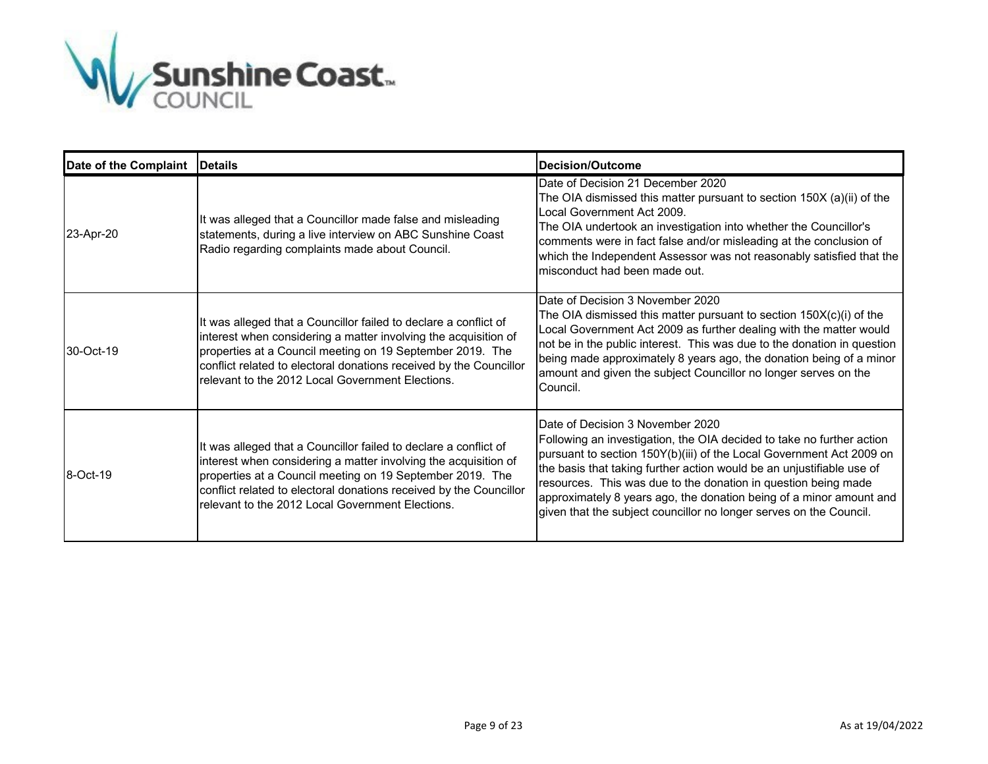

| Date of the Complaint   Details |                                                                                                                                                                                                                                                                                                                            | <b>Decision/Outcome</b>                                                                                                                                                                                                                                                                                                                                                                                                                                                   |
|---------------------------------|----------------------------------------------------------------------------------------------------------------------------------------------------------------------------------------------------------------------------------------------------------------------------------------------------------------------------|---------------------------------------------------------------------------------------------------------------------------------------------------------------------------------------------------------------------------------------------------------------------------------------------------------------------------------------------------------------------------------------------------------------------------------------------------------------------------|
| 23-Apr-20                       | It was alleged that a Councillor made false and misleading<br>statements, during a live interview on ABC Sunshine Coast<br>Radio regarding complaints made about Council.                                                                                                                                                  | Date of Decision 21 December 2020<br>The OIA dismissed this matter pursuant to section 150X (a)(ii) of the<br>Local Government Act 2009<br>The OIA undertook an investigation into whether the Councillor's<br>comments were in fact false and/or misleading at the conclusion of<br>which the Independent Assessor was not reasonably satisfied that the<br>misconduct had been made out.                                                                                |
| 30-Oct-19                       | It was alleged that a Councillor failed to declare a conflict of<br>interest when considering a matter involving the acquisition of<br>properties at a Council meeting on 19 September 2019. The<br>conflict related to electoral donations received by the Councillor<br>relevant to the 2012 Local Government Elections. | Date of Decision 3 November 2020<br>The OIA dismissed this matter pursuant to section $150X(c)(i)$ of the<br>Local Government Act 2009 as further dealing with the matter would<br>not be in the public interest. This was due to the donation in question<br>being made approximately 8 years ago, the donation being of a minor<br>amount and given the subject Councillor no longer serves on the<br>Council.                                                          |
| 8-Oct-19                        | It was alleged that a Councillor failed to declare a conflict of<br>interest when considering a matter involving the acquisition of<br>properties at a Council meeting on 19 September 2019. The<br>conflict related to electoral donations received by the Councillor<br>relevant to the 2012 Local Government Elections. | Date of Decision 3 November 2020<br>Following an investigation, the OIA decided to take no further action<br>pursuant to section 150Y(b)(iii) of the Local Government Act 2009 on<br>the basis that taking further action would be an unjustifiable use of<br>resources. This was due to the donation in question being made<br>approximately 8 years ago, the donation being of a minor amount and<br>given that the subject councillor no longer serves on the Council. |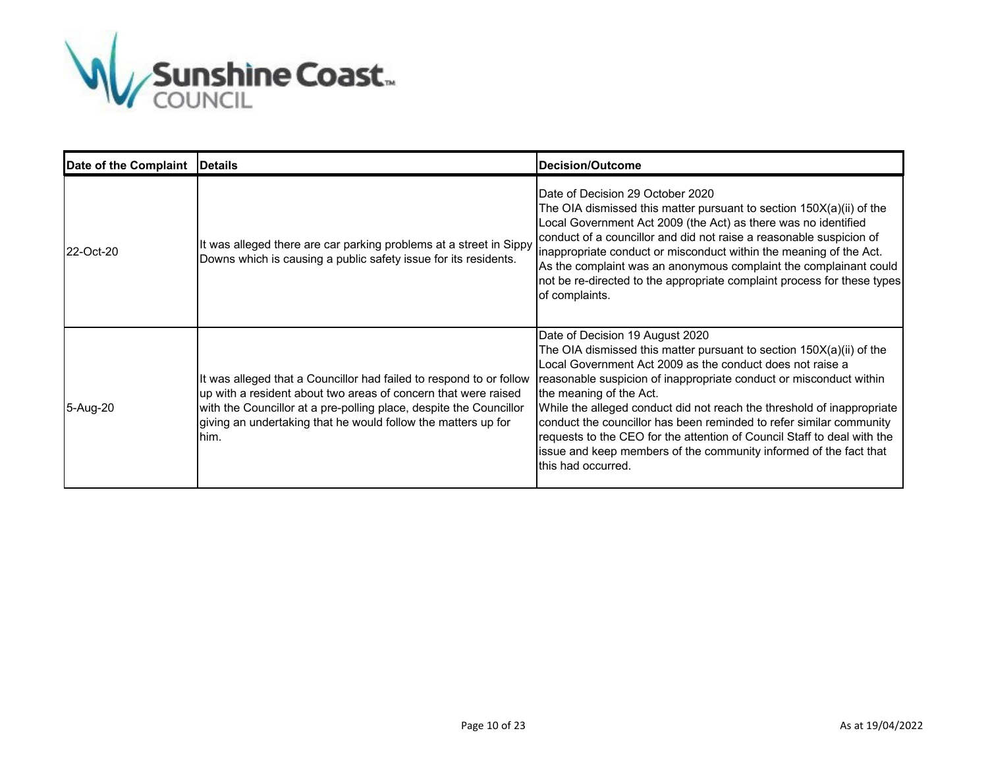

| Date of the Complaint | <b>Details</b>                                                                                                                                                                                                                                                                       | Decision/Outcome                                                                                                                                                                                                                                                                                                                                                                                                                                                                                                                                                                             |
|-----------------------|--------------------------------------------------------------------------------------------------------------------------------------------------------------------------------------------------------------------------------------------------------------------------------------|----------------------------------------------------------------------------------------------------------------------------------------------------------------------------------------------------------------------------------------------------------------------------------------------------------------------------------------------------------------------------------------------------------------------------------------------------------------------------------------------------------------------------------------------------------------------------------------------|
| 22-Oct-20             | It was alleged there are car parking problems at a street in Sippy<br>Downs which is causing a public safety issue for its residents.                                                                                                                                                | Date of Decision 29 October 2020<br>The OIA dismissed this matter pursuant to section 150X(a)(ii) of the<br>Local Government Act 2009 (the Act) as there was no identified<br>conduct of a councillor and did not raise a reasonable suspicion of<br>inappropriate conduct or misconduct within the meaning of the Act.<br>As the complaint was an anonymous complaint the complainant could<br>not be re-directed to the appropriate complaint process for these types<br>of complaints.                                                                                                    |
| 5-Aug-20              | It was alleged that a Councillor had failed to respond to or follow<br>up with a resident about two areas of concern that were raised<br>with the Councillor at a pre-polling place, despite the Councillor<br>giving an undertaking that he would follow the matters up for<br>him. | Date of Decision 19 August 2020<br>The OIA dismissed this matter pursuant to section 150X(a)(ii) of the<br>Local Government Act 2009 as the conduct does not raise a<br>reasonable suspicion of inappropriate conduct or misconduct within<br>the meaning of the Act.<br>While the alleged conduct did not reach the threshold of inappropriate<br>conduct the councillor has been reminded to refer similar community<br>requests to the CEO for the attention of Council Staff to deal with the<br>issue and keep members of the community informed of the fact that<br>this had occurred. |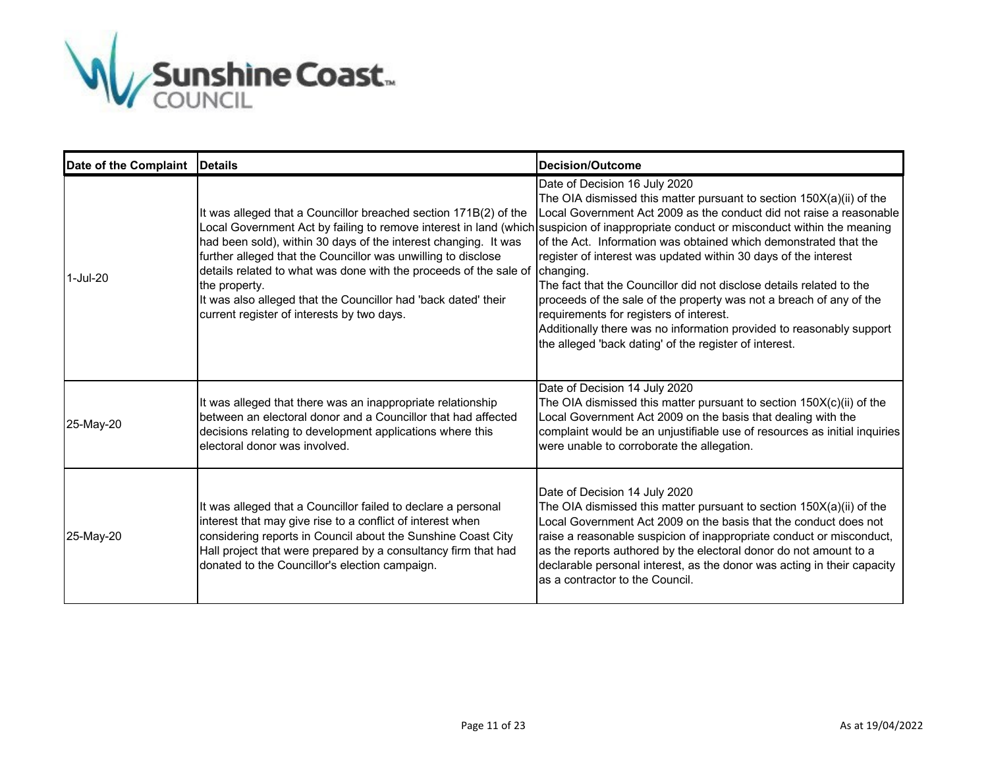

| Date of the Complaint   Details |                                                                                                                                                                                                                                                                                                                                                                                                                      | Decision/Outcome                                                                                                                                                                                                                                                                                                                                                                                                                                                                                                                                                                                                                                                                                                                                                                         |
|---------------------------------|----------------------------------------------------------------------------------------------------------------------------------------------------------------------------------------------------------------------------------------------------------------------------------------------------------------------------------------------------------------------------------------------------------------------|------------------------------------------------------------------------------------------------------------------------------------------------------------------------------------------------------------------------------------------------------------------------------------------------------------------------------------------------------------------------------------------------------------------------------------------------------------------------------------------------------------------------------------------------------------------------------------------------------------------------------------------------------------------------------------------------------------------------------------------------------------------------------------------|
| 1-Jul-20                        | It was alleged that a Councillor breached section 171B(2) of the<br>had been sold), within 30 days of the interest changing. It was<br>further alleged that the Councillor was unwilling to disclose<br>details related to what was done with the proceeds of the sale of changing.<br>the property.<br>It was also alleged that the Councillor had 'back dated' their<br>current register of interests by two days. | Date of Decision 16 July 2020<br>The OIA dismissed this matter pursuant to section 150X(a)(ii) of the<br>Local Government Act 2009 as the conduct did not raise a reasonable<br>Local Government Act by failing to remove interest in land (which suspicion of inappropriate conduct or misconduct within the meaning<br>of the Act. Information was obtained which demonstrated that the<br>register of interest was updated within 30 days of the interest<br>The fact that the Councillor did not disclose details related to the<br>proceeds of the sale of the property was not a breach of any of the<br>requirements for registers of interest.<br>Additionally there was no information provided to reasonably support<br>the alleged 'back dating' of the register of interest. |
| 25-May-20                       | It was alleged that there was an inappropriate relationship<br>between an electoral donor and a Councillor that had affected<br>decisions relating to development applications where this<br>lelectoral donor was involved.                                                                                                                                                                                          | Date of Decision 14 July 2020<br>The OIA dismissed this matter pursuant to section $150X(c)(ii)$ of the<br>Local Government Act 2009 on the basis that dealing with the<br>complaint would be an unjustifiable use of resources as initial inquiries<br>were unable to corroborate the allegation.                                                                                                                                                                                                                                                                                                                                                                                                                                                                                       |
| 25-May-20                       | It was alleged that a Councillor failed to declare a personal<br>interest that may give rise to a conflict of interest when<br>considering reports in Council about the Sunshine Coast City<br>Hall project that were prepared by a consultancy firm that had<br>donated to the Councillor's election campaign.                                                                                                      | Date of Decision 14 July 2020<br>The OIA dismissed this matter pursuant to section $150X(a)(ii)$ of the<br>Local Government Act 2009 on the basis that the conduct does not<br>raise a reasonable suspicion of inappropriate conduct or misconduct,<br>as the reports authored by the electoral donor do not amount to a<br>declarable personal interest, as the donor was acting in their capacity<br>as a contractor to the Council.                                                                                                                                                                                                                                                                                                                                                   |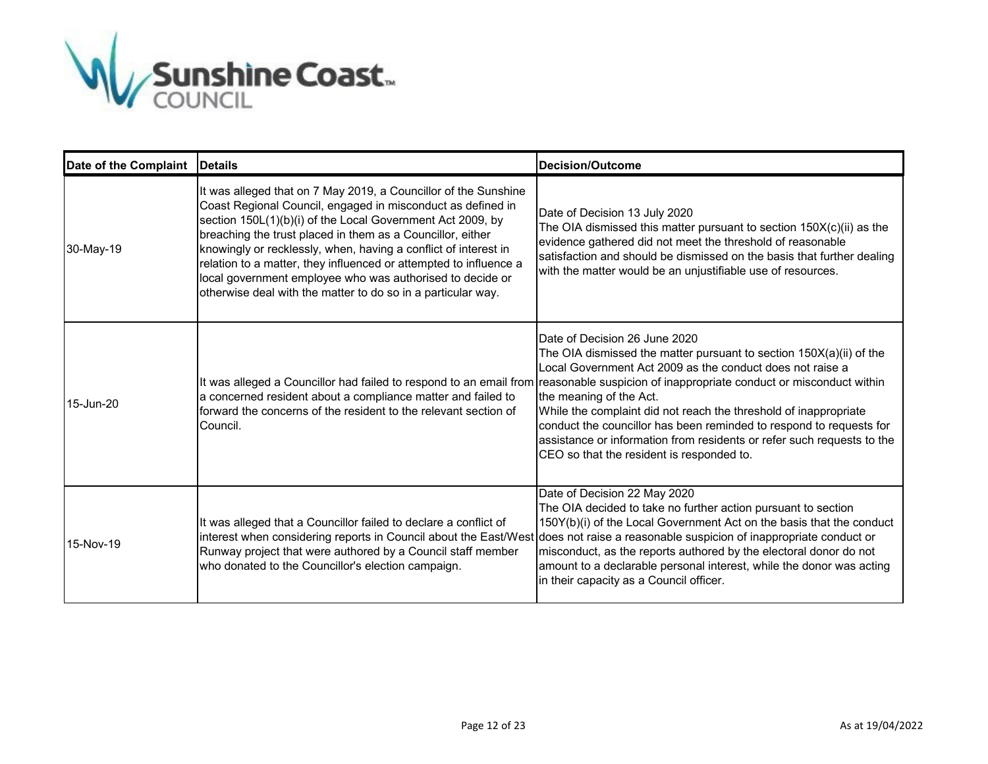

| Date of the Complaint | <b>Details</b>                                                                                                                                                                                                                                                                                                                                                                                                                                                                                                                  | <b>Decision/Outcome</b>                                                                                                                                                                                                                                                                                                                                                                                                                                                                                                                                                                                   |
|-----------------------|---------------------------------------------------------------------------------------------------------------------------------------------------------------------------------------------------------------------------------------------------------------------------------------------------------------------------------------------------------------------------------------------------------------------------------------------------------------------------------------------------------------------------------|-----------------------------------------------------------------------------------------------------------------------------------------------------------------------------------------------------------------------------------------------------------------------------------------------------------------------------------------------------------------------------------------------------------------------------------------------------------------------------------------------------------------------------------------------------------------------------------------------------------|
| 30-May-19             | It was alleged that on 7 May 2019, a Councillor of the Sunshine<br>Coast Regional Council, engaged in misconduct as defined in<br>section 150L(1)(b)(i) of the Local Government Act 2009, by<br>breaching the trust placed in them as a Councillor, either<br>knowingly or recklessly, when, having a conflict of interest in<br>relation to a matter, they influenced or attempted to influence a<br>local government employee who was authorised to decide or<br>otherwise deal with the matter to do so in a particular way. | Date of Decision 13 July 2020<br>The OIA dismissed this matter pursuant to section $150X(c)(ii)$ as the<br>evidence gathered did not meet the threshold of reasonable<br>satisfaction and should be dismissed on the basis that further dealing<br>with the matter would be an unjustifiable use of resources.                                                                                                                                                                                                                                                                                            |
| 15-Jun-20             | a concerned resident about a compliance matter and failed to<br>forward the concerns of the resident to the relevant section of<br>Council.                                                                                                                                                                                                                                                                                                                                                                                     | Date of Decision 26 June 2020<br>The OIA dismissed the matter pursuant to section $150X(a)(ii)$ of the<br>Local Government Act 2009 as the conduct does not raise a<br>It was alleged a Councillor had failed to respond to an email from reasonable suspicion of inappropriate conduct or misconduct within<br>the meaning of the Act.<br>While the complaint did not reach the threshold of inappropriate<br>conduct the councillor has been reminded to respond to requests for<br>assistance or information from residents or refer such requests to the<br>CEO so that the resident is responded to. |
| 15-Nov-19             | It was alleged that a Councillor failed to declare a conflict of<br>interest when considering reports in Council about the East/West<br>Runway project that were authored by a Council staff member<br>who donated to the Councillor's election campaign.                                                                                                                                                                                                                                                                       | Date of Decision 22 May 2020<br>The OIA decided to take no further action pursuant to section<br>150Y(b)(i) of the Local Government Act on the basis that the conduct<br>does not raise a reasonable suspicion of inappropriate conduct or<br>misconduct, as the reports authored by the electoral donor do not<br>amount to a declarable personal interest, while the donor was acting<br>in their capacity as a Council officer.                                                                                                                                                                        |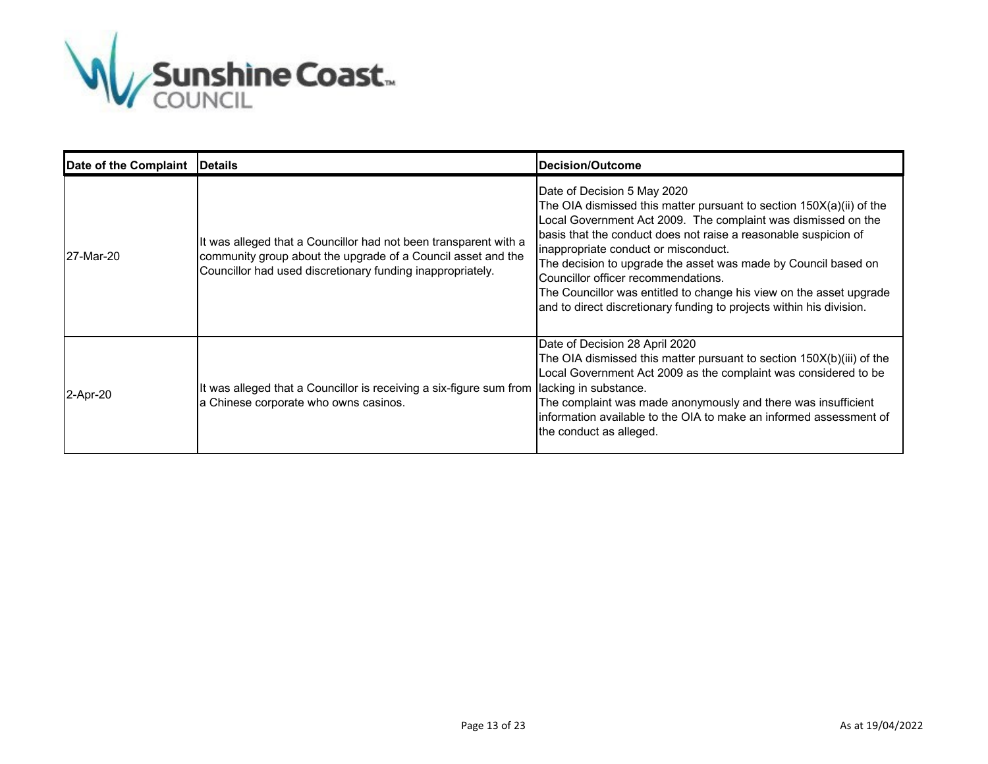

| Date of the Complaint   Details |                                                                                                                                                                                                | <b>Decision/Outcome</b>                                                                                                                                                                                                                                                                                                                                                                                                                                                                                                                   |
|---------------------------------|------------------------------------------------------------------------------------------------------------------------------------------------------------------------------------------------|-------------------------------------------------------------------------------------------------------------------------------------------------------------------------------------------------------------------------------------------------------------------------------------------------------------------------------------------------------------------------------------------------------------------------------------------------------------------------------------------------------------------------------------------|
| 27-Mar-20                       | It was alleged that a Councillor had not been transparent with a<br>community group about the upgrade of a Council asset and the<br>Councillor had used discretionary funding inappropriately. | Date of Decision 5 May 2020<br>The OIA dismissed this matter pursuant to section $150X(a)(ii)$ of the<br>Local Government Act 2009. The complaint was dismissed on the<br>basis that the conduct does not raise a reasonable suspicion of<br>inappropriate conduct or misconduct.<br>The decision to upgrade the asset was made by Council based on<br>Councillor officer recommendations.<br>The Councillor was entitled to change his view on the asset upgrade<br>and to direct discretionary funding to projects within his division. |
| 2-Apr-20                        | It was alleged that a Councillor is receiving a six-figure sum from lacking in substance.<br>a Chinese corporate who owns casinos.                                                             | Date of Decision 28 April 2020<br>The OIA dismissed this matter pursuant to section 150X(b)(iii) of the<br>Local Government Act 2009 as the complaint was considered to be<br>The complaint was made anonymously and there was insufficient<br>linformation available to the OIA to make an informed assessment of<br>the conduct as alleged.                                                                                                                                                                                             |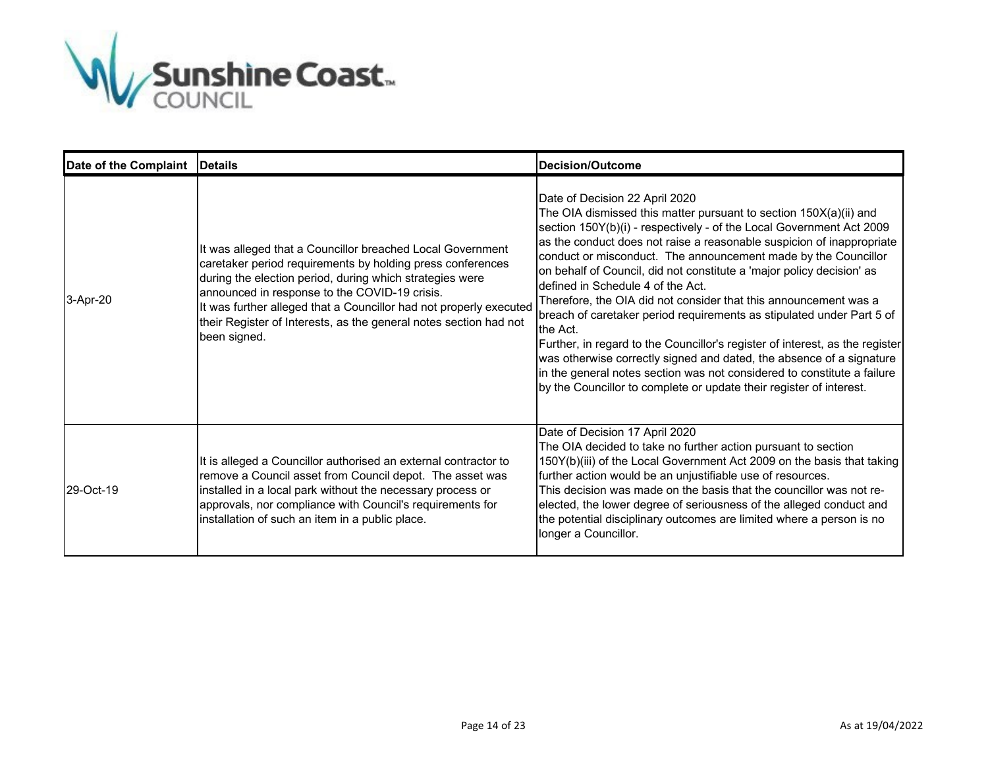

| Date of the Complaint   Details |                                                                                                                                                                                                                                                                                                                                                                                                  | <b>Decision/Outcome</b>                                                                                                                                                                                                                                                                                                                                                                                                                                                                                                                                                                                                                                                                                                                                                                                                                                                                                 |
|---------------------------------|--------------------------------------------------------------------------------------------------------------------------------------------------------------------------------------------------------------------------------------------------------------------------------------------------------------------------------------------------------------------------------------------------|---------------------------------------------------------------------------------------------------------------------------------------------------------------------------------------------------------------------------------------------------------------------------------------------------------------------------------------------------------------------------------------------------------------------------------------------------------------------------------------------------------------------------------------------------------------------------------------------------------------------------------------------------------------------------------------------------------------------------------------------------------------------------------------------------------------------------------------------------------------------------------------------------------|
| 3-Apr-20                        | It was alleged that a Councillor breached Local Government<br>caretaker period requirements by holding press conferences<br>during the election period, during which strategies were<br>announced in response to the COVID-19 crisis.<br>It was further alleged that a Councillor had not properly executed<br>their Register of Interests, as the general notes section had not<br>been signed. | Date of Decision 22 April 2020<br>The OIA dismissed this matter pursuant to section 150X(a)(ii) and<br>section 150Y(b)(i) - respectively - of the Local Government Act 2009<br>as the conduct does not raise a reasonable suspicion of inappropriate<br>conduct or misconduct. The announcement made by the Councillor<br>on behalf of Council, did not constitute a 'major policy decision' as<br>defined in Schedule 4 of the Act.<br>Therefore, the OIA did not consider that this announcement was a<br>breach of caretaker period requirements as stipulated under Part 5 of<br>the Act.<br>Further, in regard to the Councillor's register of interest, as the register<br>was otherwise correctly signed and dated, the absence of a signature<br>in the general notes section was not considered to constitute a failure<br>by the Councillor to complete or update their register of interest. |
| 29-Oct-19                       | It is alleged a Councillor authorised an external contractor to<br>remove a Council asset from Council depot. The asset was<br>installed in a local park without the necessary process or<br>approvals, nor compliance with Council's requirements for<br>installation of such an item in a public place.                                                                                        | Date of Decision 17 April 2020<br>The OIA decided to take no further action pursuant to section<br>150Y(b)(iii) of the Local Government Act 2009 on the basis that taking<br>further action would be an unjustifiable use of resources.<br>This decision was made on the basis that the councillor was not re-<br>elected, the lower degree of seriousness of the alleged conduct and<br>the potential disciplinary outcomes are limited where a person is no<br>longer a Councillor.                                                                                                                                                                                                                                                                                                                                                                                                                   |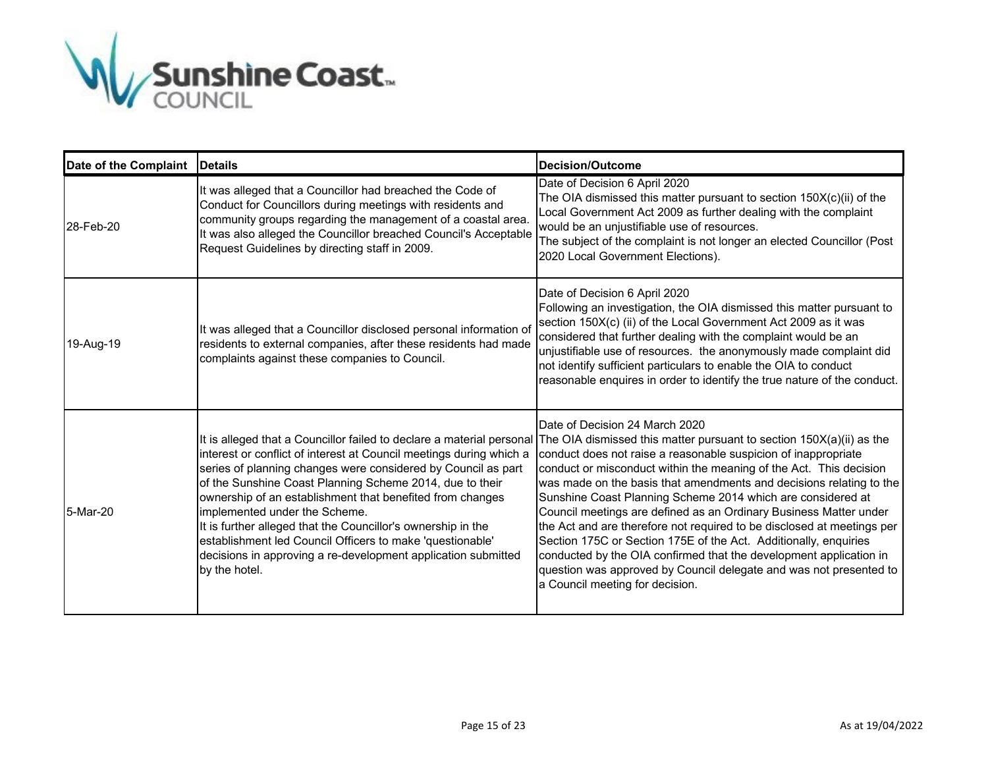

| Date of the Complaint   Details |                                                                                                                                                                                                                                                                                                                                                                                                                                                                                                               | <b>Decision/Outcome</b>                                                                                                                                                                                                                                                                                                                                                                                                                                                                                                                                                                                                                                                                                                                                                                                                                                      |
|---------------------------------|---------------------------------------------------------------------------------------------------------------------------------------------------------------------------------------------------------------------------------------------------------------------------------------------------------------------------------------------------------------------------------------------------------------------------------------------------------------------------------------------------------------|--------------------------------------------------------------------------------------------------------------------------------------------------------------------------------------------------------------------------------------------------------------------------------------------------------------------------------------------------------------------------------------------------------------------------------------------------------------------------------------------------------------------------------------------------------------------------------------------------------------------------------------------------------------------------------------------------------------------------------------------------------------------------------------------------------------------------------------------------------------|
| 28-Feb-20                       | It was alleged that a Councillor had breached the Code of<br>Conduct for Councillors during meetings with residents and<br>community groups regarding the management of a coastal area.<br>It was also alleged the Councillor breached Council's Acceptable<br>Request Guidelines by directing staff in 2009.                                                                                                                                                                                                 | Date of Decision 6 April 2020<br>The OIA dismissed this matter pursuant to section 150X(c)(ii) of the<br>Local Government Act 2009 as further dealing with the complaint<br>would be an unjustifiable use of resources.<br>The subject of the complaint is not longer an elected Councillor (Post<br>2020 Local Government Elections).                                                                                                                                                                                                                                                                                                                                                                                                                                                                                                                       |
| 19-Aug-19                       | It was alleged that a Councillor disclosed personal information of<br>residents to external companies, after these residents had made<br>complaints against these companies to Council.                                                                                                                                                                                                                                                                                                                       | Date of Decision 6 April 2020<br>Following an investigation, the OIA dismissed this matter pursuant to<br>section 150X(c) (ii) of the Local Government Act 2009 as it was<br>considered that further dealing with the complaint would be an<br>unjustifiable use of resources. the anonymously made complaint did<br>not identify sufficient particulars to enable the OIA to conduct<br>reasonable enquires in order to identify the true nature of the conduct.                                                                                                                                                                                                                                                                                                                                                                                            |
| 5-Mar-20                        | interest or conflict of interest at Council meetings during which a<br>series of planning changes were considered by Council as part<br>of the Sunshine Coast Planning Scheme 2014, due to their<br>ownership of an establishment that benefited from changes<br>implemented under the Scheme.<br>It is further alleged that the Councillor's ownership in the<br>establishment led Council Officers to make 'questionable'<br>decisions in approving a re-development application submitted<br>by the hotel. | Date of Decision 24 March 2020<br>It is alleged that a Councillor failed to declare a material personal The OIA dismissed this matter pursuant to section 150X(a)(ii) as the<br>conduct does not raise a reasonable suspicion of inappropriate<br>conduct or misconduct within the meaning of the Act. This decision<br>was made on the basis that amendments and decisions relating to the<br>Sunshine Coast Planning Scheme 2014 which are considered at<br>Council meetings are defined as an Ordinary Business Matter under<br>the Act and are therefore not required to be disclosed at meetings per<br>Section 175C or Section 175E of the Act. Additionally, enquiries<br>conducted by the OIA confirmed that the development application in<br>question was approved by Council delegate and was not presented to<br>a Council meeting for decision. |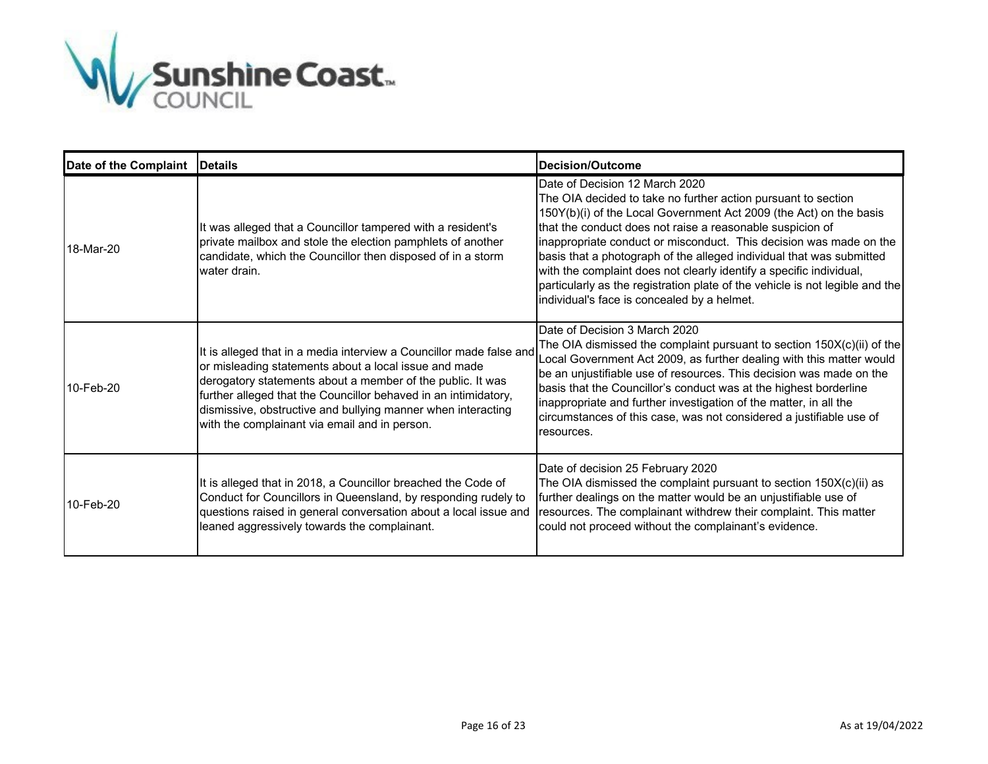

| Date of the Complaint   Details |                                                                                                                                                                                                                                                                                                                                                                                | <b>Decision/Outcome</b>                                                                                                                                                                                                                                                                                                                                                                                                                                                                                                                                                                |
|---------------------------------|--------------------------------------------------------------------------------------------------------------------------------------------------------------------------------------------------------------------------------------------------------------------------------------------------------------------------------------------------------------------------------|----------------------------------------------------------------------------------------------------------------------------------------------------------------------------------------------------------------------------------------------------------------------------------------------------------------------------------------------------------------------------------------------------------------------------------------------------------------------------------------------------------------------------------------------------------------------------------------|
| 18-Mar-20                       | It was alleged that a Councillor tampered with a resident's<br>private mailbox and stole the election pamphlets of another<br>candidate, which the Councillor then disposed of in a storm<br>water drain.                                                                                                                                                                      | Date of Decision 12 March 2020<br>The OIA decided to take no further action pursuant to section<br>150Y(b)(i) of the Local Government Act 2009 (the Act) on the basis<br>that the conduct does not raise a reasonable suspicion of<br>inappropriate conduct or misconduct. This decision was made on the<br>basis that a photograph of the alleged individual that was submitted<br>with the complaint does not clearly identify a specific individual,<br>particularly as the registration plate of the vehicle is not legible and the<br>individual's face is concealed by a helmet. |
| 10-Feb-20                       | It is alleged that in a media interview a Councillor made false and<br>or misleading statements about a local issue and made<br>derogatory statements about a member of the public. It was<br>further alleged that the Councillor behaved in an intimidatory,<br>dismissive, obstructive and bullying manner when interacting<br>with the complainant via email and in person. | Date of Decision 3 March 2020<br>The OIA dismissed the complaint pursuant to section 150X(c)(ii) of the<br>Local Government Act 2009, as further dealing with this matter would<br>be an unjustifiable use of resources. This decision was made on the<br>basis that the Councillor's conduct was at the highest borderline<br>inappropriate and further investigation of the matter, in all the<br>circumstances of this case, was not considered a justifiable use of<br>resources.                                                                                                  |
| 10-Feb-20                       | It is alleged that in 2018, a Councillor breached the Code of<br>Conduct for Councillors in Queensland, by responding rudely to<br>questions raised in general conversation about a local issue and<br>leaned aggressively towards the complainant.                                                                                                                            | Date of decision 25 February 2020<br>The OIA dismissed the complaint pursuant to section 150X(c)(ii) as<br>further dealings on the matter would be an unjustifiable use of<br>resources. The complainant withdrew their complaint. This matter<br>could not proceed without the complainant's evidence.                                                                                                                                                                                                                                                                                |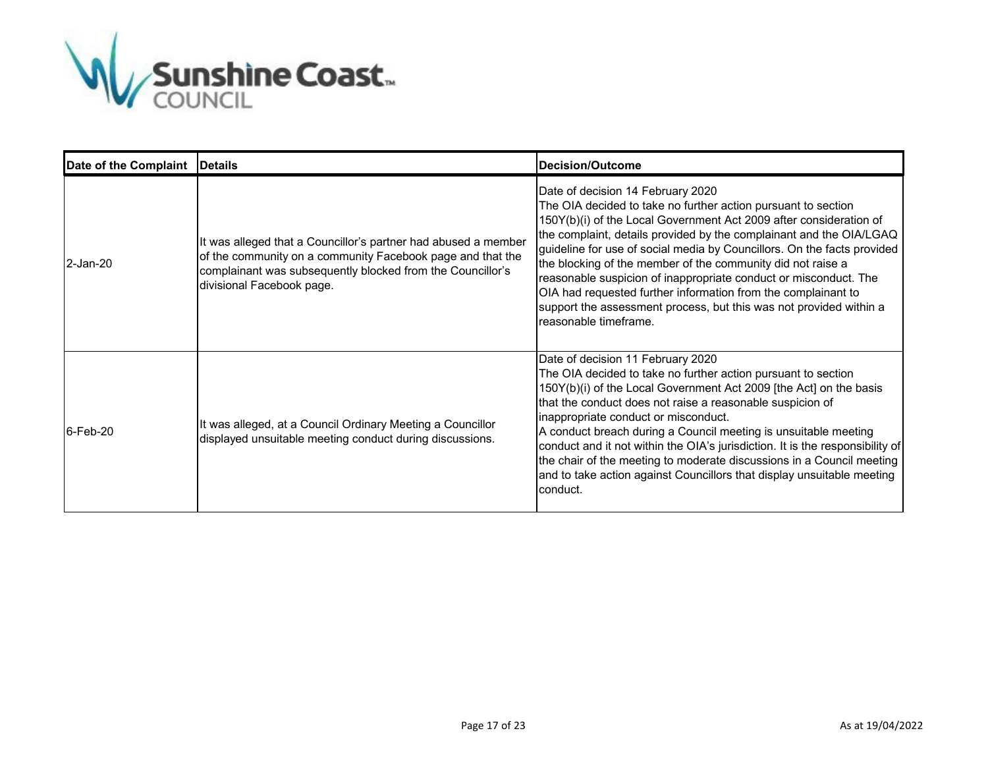

| Date of the Complaint | <b>Details</b>                                                                                                                                                                                                          | Decision/Outcome                                                                                                                                                                                                                                                                                                                                                                                                                                                                                                                                                                                                              |
|-----------------------|-------------------------------------------------------------------------------------------------------------------------------------------------------------------------------------------------------------------------|-------------------------------------------------------------------------------------------------------------------------------------------------------------------------------------------------------------------------------------------------------------------------------------------------------------------------------------------------------------------------------------------------------------------------------------------------------------------------------------------------------------------------------------------------------------------------------------------------------------------------------|
| 2-Jan-20              | It was alleged that a Councillor's partner had abused a member<br>of the community on a community Facebook page and that the<br>complainant was subsequently blocked from the Councillor's<br>divisional Facebook page. | Date of decision 14 February 2020<br>The OIA decided to take no further action pursuant to section<br>150Y(b)(i) of the Local Government Act 2009 after consideration of<br>the complaint, details provided by the complainant and the OIA/LGAQ<br>guideline for use of social media by Councillors. On the facts provided<br>the blocking of the member of the community did not raise a<br>reasonable suspicion of inappropriate conduct or misconduct. The<br>OIA had requested further information from the complainant to<br>support the assessment process, but this was not provided within a<br>reasonable timeframe. |
| 6-Feb-20              | It was alleged, at a Council Ordinary Meeting a Councillor<br>displayed unsuitable meeting conduct during discussions.                                                                                                  | Date of decision 11 February 2020<br>The OIA decided to take no further action pursuant to section<br>150Y(b)(i) of the Local Government Act 2009 [the Act] on the basis<br>that the conduct does not raise a reasonable suspicion of<br>inappropriate conduct or misconduct.<br>A conduct breach during a Council meeting is unsuitable meeting<br>conduct and it not within the OIA's jurisdiction. It is the responsibility of<br>the chair of the meeting to moderate discussions in a Council meeting<br>and to take action against Councillors that display unsuitable meeting<br>conduct.                              |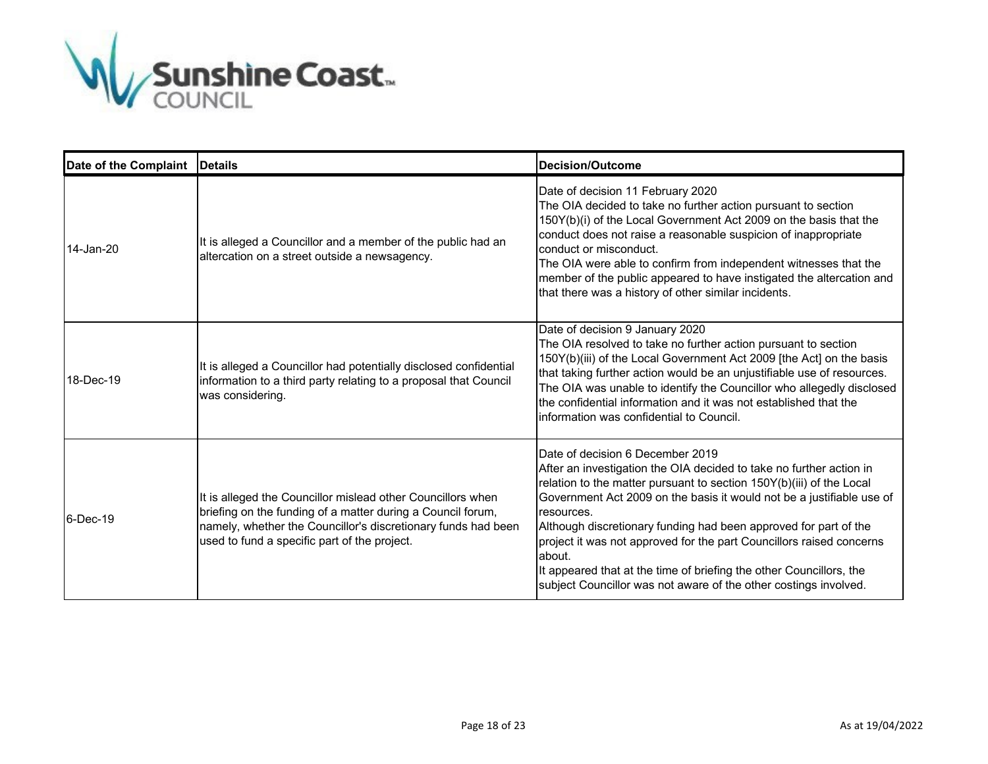

| Date of the Complaint | <b>IDetails</b>                                                                                                                                                                                                                             | <b>Decision/Outcome</b>                                                                                                                                                                                                                                                                                                                                                                                                                                                                                                                                                 |
|-----------------------|---------------------------------------------------------------------------------------------------------------------------------------------------------------------------------------------------------------------------------------------|-------------------------------------------------------------------------------------------------------------------------------------------------------------------------------------------------------------------------------------------------------------------------------------------------------------------------------------------------------------------------------------------------------------------------------------------------------------------------------------------------------------------------------------------------------------------------|
| 14-Jan-20             | It is alleged a Councillor and a member of the public had an<br>altercation on a street outside a newsagency.                                                                                                                               | Date of decision 11 February 2020<br>The OIA decided to take no further action pursuant to section<br>150Y(b)(i) of the Local Government Act 2009 on the basis that the<br>conduct does not raise a reasonable suspicion of inappropriate<br>conduct or misconduct.<br>The OIA were able to confirm from independent witnesses that the<br>member of the public appeared to have instigated the altercation and<br>that there was a history of other similar incidents.                                                                                                 |
| 18-Dec-19             | It is alleged a Councillor had potentially disclosed confidential<br>information to a third party relating to a proposal that Council<br>was considering.                                                                                   | Date of decision 9 January 2020<br>The OIA resolved to take no further action pursuant to section<br>150Y(b)(iii) of the Local Government Act 2009 [the Act] on the basis<br>that taking further action would be an unjustifiable use of resources.<br>The OIA was unable to identify the Councillor who allegedly disclosed<br>the confidential information and it was not established that the<br>linformation was confidential to Council.                                                                                                                           |
| $6$ -Dec-19           | It is alleged the Councillor mislead other Councillors when<br>briefing on the funding of a matter during a Council forum,<br>namely, whether the Councillor's discretionary funds had been<br>used to fund a specific part of the project. | Date of decision 6 December 2019<br>After an investigation the OIA decided to take no further action in<br>relation to the matter pursuant to section 150Y(b)(iii) of the Local<br>Government Act 2009 on the basis it would not be a justifiable use of<br>resources.<br>Although discretionary funding had been approved for part of the<br>project it was not approved for the part Councillors raised concerns<br>about.<br>It appeared that at the time of briefing the other Councillors, the<br>subject Councillor was not aware of the other costings involved. |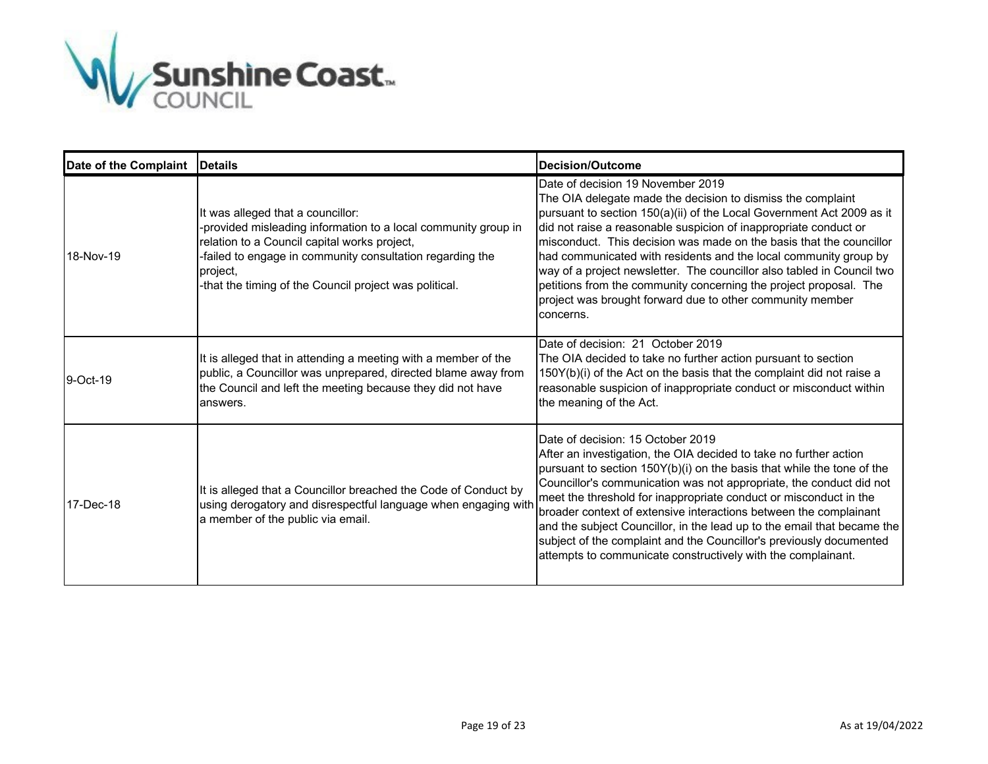

| Date of the Complaint | <b>Details</b>                                                                                                                                                                                                                                                                         | <b>Decision/Outcome</b>                                                                                                                                                                                                                                                                                                                                                                                                                                                                                                                                                                                             |
|-----------------------|----------------------------------------------------------------------------------------------------------------------------------------------------------------------------------------------------------------------------------------------------------------------------------------|---------------------------------------------------------------------------------------------------------------------------------------------------------------------------------------------------------------------------------------------------------------------------------------------------------------------------------------------------------------------------------------------------------------------------------------------------------------------------------------------------------------------------------------------------------------------------------------------------------------------|
| 18-Nov-19             | It was alleged that a councillor:<br>-provided misleading information to a local community group in<br>relation to a Council capital works project,<br>-failed to engage in community consultation regarding the<br>project,<br>-that the timing of the Council project was political. | Date of decision 19 November 2019<br>The OIA delegate made the decision to dismiss the complaint<br>pursuant to section 150(a)(ii) of the Local Government Act 2009 as it<br>did not raise a reasonable suspicion of inappropriate conduct or<br>misconduct. This decision was made on the basis that the councillor<br>had communicated with residents and the local community group by<br>way of a project newsletter. The councillor also tabled in Council two<br>petitions from the community concerning the project proposal. The<br>project was brought forward due to other community member<br>concerns.   |
| 9-Oct-19              | It is alleged that in attending a meeting with a member of the<br>public, a Councillor was unprepared, directed blame away from<br>the Council and left the meeting because they did not have<br>answers.                                                                              | Date of decision: 21 October 2019<br>The OIA decided to take no further action pursuant to section<br>150Y(b)(i) of the Act on the basis that the complaint did not raise a<br>reasonable suspicion of inappropriate conduct or misconduct within<br>the meaning of the Act.                                                                                                                                                                                                                                                                                                                                        |
| 17-Dec-18             | It is alleged that a Councillor breached the Code of Conduct by<br>using derogatory and disrespectful language when engaging with<br>a member of the public via email.                                                                                                                 | Date of decision: 15 October 2019<br>After an investigation, the OIA decided to take no further action<br>pursuant to section 150Y(b)(i) on the basis that while the tone of the<br>Councillor's communication was not appropriate, the conduct did not<br>meet the threshold for inappropriate conduct or misconduct in the<br>broader context of extensive interactions between the complainant<br>and the subject Councillor, in the lead up to the email that became the<br>subject of the complaint and the Councillor's previously documented<br>attempts to communicate constructively with the complainant. |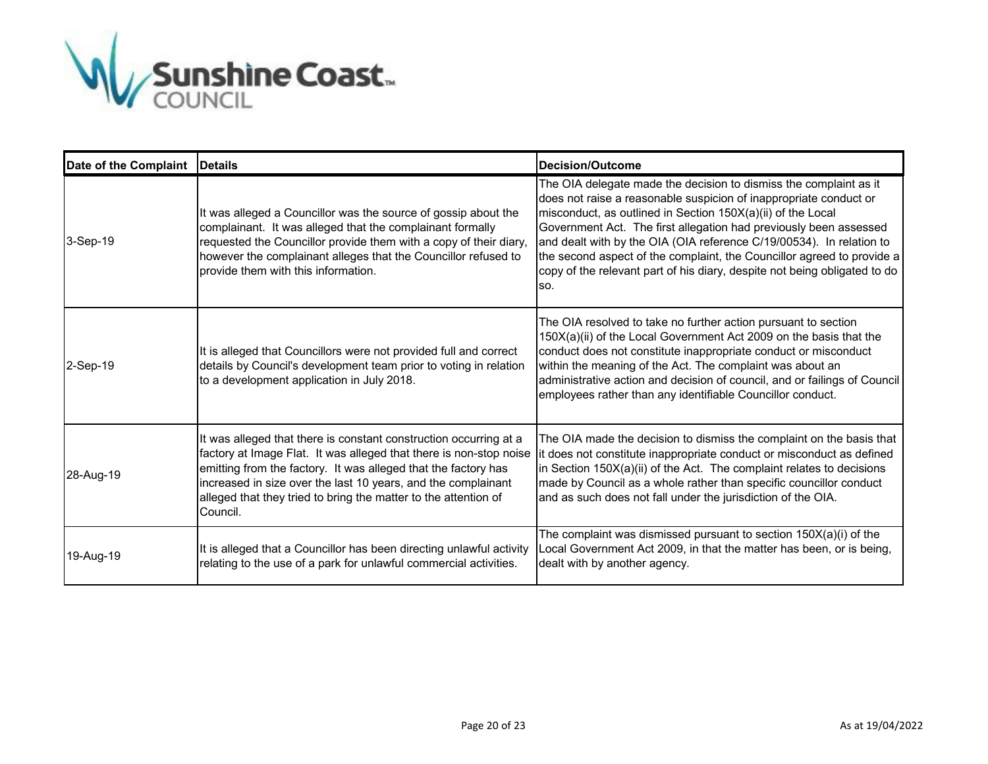

| Date of the Complaint | <b>IDetails</b>                                                                                                                                                                                                                                                                                                                                           | Decision/Outcome                                                                                                                                                                                                                                                                                                                                                                                                                                                                                                  |
|-----------------------|-----------------------------------------------------------------------------------------------------------------------------------------------------------------------------------------------------------------------------------------------------------------------------------------------------------------------------------------------------------|-------------------------------------------------------------------------------------------------------------------------------------------------------------------------------------------------------------------------------------------------------------------------------------------------------------------------------------------------------------------------------------------------------------------------------------------------------------------------------------------------------------------|
| 3-Sep-19              | It was alleged a Councillor was the source of gossip about the<br>complainant. It was alleged that the complainant formally<br>requested the Councillor provide them with a copy of their diary,<br>however the complainant alleges that the Councillor refused to<br>provide them with this information.                                                 | The OIA delegate made the decision to dismiss the complaint as it<br>does not raise a reasonable suspicion of inappropriate conduct or<br>misconduct, as outlined in Section 150X(a)(ii) of the Local<br>Government Act. The first allegation had previously been assessed<br>and dealt with by the OIA (OIA reference C/19/00534). In relation to<br>the second aspect of the complaint, the Councillor agreed to provide a<br>copy of the relevant part of his diary, despite not being obligated to do<br>lso. |
| 2-Sep-19              | It is alleged that Councillors were not provided full and correct<br>details by Council's development team prior to voting in relation<br>to a development application in July 2018.                                                                                                                                                                      | The OIA resolved to take no further action pursuant to section<br>150X(a)(ii) of the Local Government Act 2009 on the basis that the<br>conduct does not constitute inappropriate conduct or misconduct<br>within the meaning of the Act. The complaint was about an<br>administrative action and decision of council, and or failings of Council<br>employees rather than any identifiable Councillor conduct.                                                                                                   |
| 28-Aug-19             | It was alleged that there is constant construction occurring at a<br>factory at Image Flat. It was alleged that there is non-stop noise<br>emitting from the factory. It was alleged that the factory has<br>increased in size over the last 10 years, and the complainant<br>alleged that they tried to bring the matter to the attention of<br>Council. | The OIA made the decision to dismiss the complaint on the basis that<br>it does not constitute inappropriate conduct or misconduct as defined<br>in Section $150X(a)(ii)$ of the Act. The complaint relates to decisions<br>made by Council as a whole rather than specific councillor conduct<br>and as such does not fall under the jurisdiction of the OIA.                                                                                                                                                    |
| 19-Aug-19             | It is alleged that a Councillor has been directing unlawful activity<br>relating to the use of a park for unlawful commercial activities.                                                                                                                                                                                                                 | The complaint was dismissed pursuant to section $150X(a)(i)$ of the<br>Local Government Act 2009, in that the matter has been, or is being,<br>dealt with by another agency.                                                                                                                                                                                                                                                                                                                                      |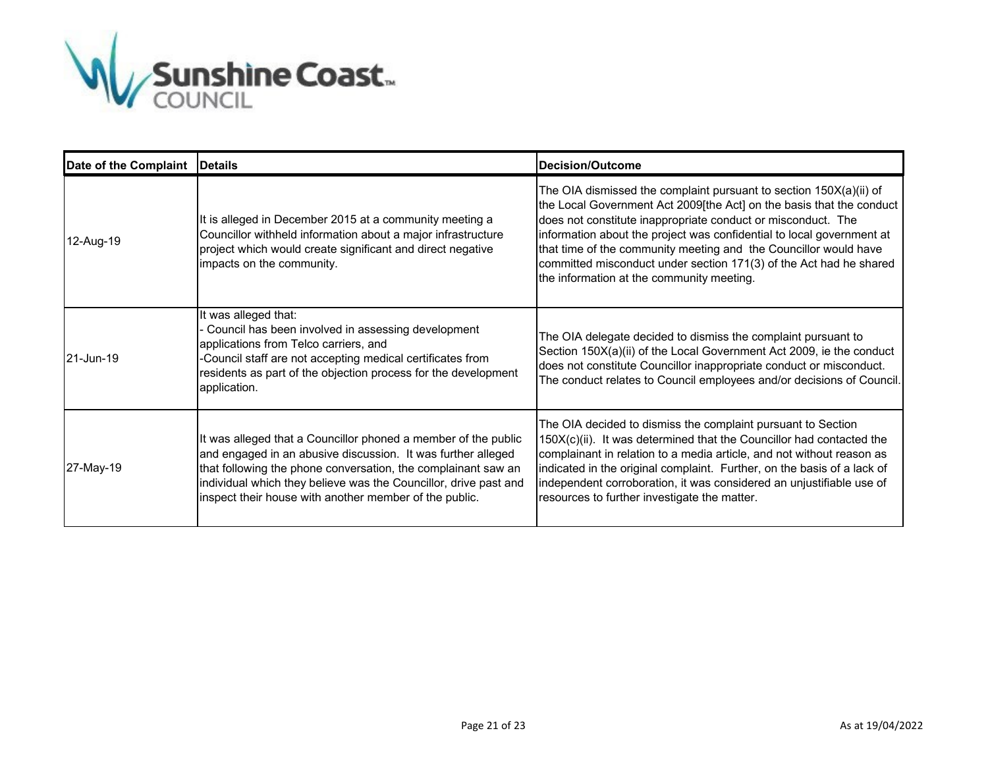

| Date of the Complaint | <b>Details</b>                                                                                                                                                                                                                                                                                                                | <b>Decision/Outcome</b>                                                                                                                                                                                                                                                                                                                                                                                                                                                    |
|-----------------------|-------------------------------------------------------------------------------------------------------------------------------------------------------------------------------------------------------------------------------------------------------------------------------------------------------------------------------|----------------------------------------------------------------------------------------------------------------------------------------------------------------------------------------------------------------------------------------------------------------------------------------------------------------------------------------------------------------------------------------------------------------------------------------------------------------------------|
| 12-Aug-19             | It is alleged in December 2015 at a community meeting a<br>Councillor withheld information about a major infrastructure<br>project which would create significant and direct negative<br>impacts on the community.                                                                                                            | The OIA dismissed the complaint pursuant to section 150X(a)(ii) of<br>the Local Government Act 2009[the Act] on the basis that the conduct<br>does not constitute inappropriate conduct or misconduct. The<br>information about the project was confidential to local government at<br>that time of the community meeting and the Councillor would have<br>committed misconduct under section 171(3) of the Act had he shared<br>the information at the community meeting. |
| 21-Jun-19             | It was alleged that:<br>Council has been involved in assessing development<br>applications from Telco carriers, and<br>-Council staff are not accepting medical certificates from<br>residents as part of the objection process for the development<br>application.                                                           | The OIA delegate decided to dismiss the complaint pursuant to<br>Section 150X(a)(ii) of the Local Government Act 2009, ie the conduct<br>does not constitute Councillor inappropriate conduct or misconduct.<br>The conduct relates to Council employees and/or decisions of Council.                                                                                                                                                                                      |
| 27-May-19             | It was alleged that a Councillor phoned a member of the public<br>and engaged in an abusive discussion. It was further alleged<br>that following the phone conversation, the complainant saw an<br>individual which they believe was the Councillor, drive past and<br>inspect their house with another member of the public. | The OIA decided to dismiss the complaint pursuant to Section<br>150X(c)(ii). It was determined that the Councillor had contacted the<br>complainant in relation to a media article, and not without reason as<br>indicated in the original complaint. Further, on the basis of a lack of<br>independent corroboration, it was considered an unjustifiable use of<br>resources to further investigate the matter.                                                           |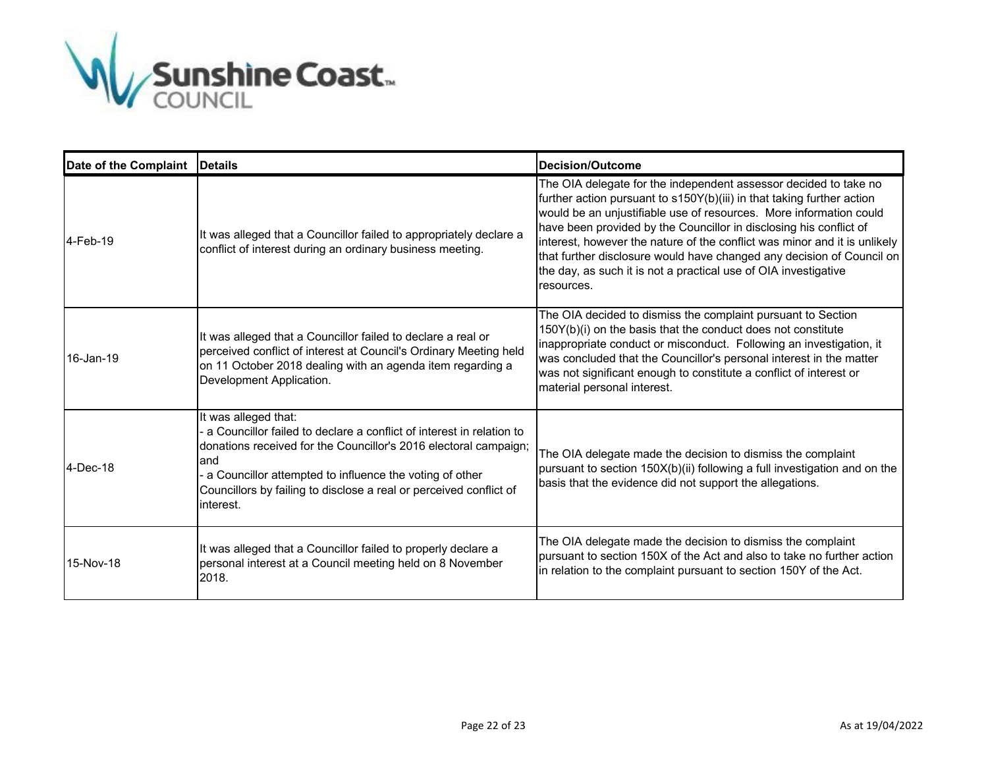

| Date of the Complaint | <b>IDetails</b>                                                                                                                                                                                                                                                                                                        | Decision/Outcome                                                                                                                                                                                                                                                                                                                                                                                                                                                                                                              |
|-----------------------|------------------------------------------------------------------------------------------------------------------------------------------------------------------------------------------------------------------------------------------------------------------------------------------------------------------------|-------------------------------------------------------------------------------------------------------------------------------------------------------------------------------------------------------------------------------------------------------------------------------------------------------------------------------------------------------------------------------------------------------------------------------------------------------------------------------------------------------------------------------|
| 4-Feb-19              | It was alleged that a Councillor failed to appropriately declare a<br>conflict of interest during an ordinary business meeting.                                                                                                                                                                                        | The OIA delegate for the independent assessor decided to take no<br>further action pursuant to s150Y(b)(iii) in that taking further action<br>would be an unjustifiable use of resources. More information could<br>have been provided by the Councillor in disclosing his conflict of<br>interest, however the nature of the conflict was minor and it is unlikely<br>that further disclosure would have changed any decision of Council on<br>the day, as such it is not a practical use of OIA investigative<br>resources. |
| 16-Jan-19             | It was alleged that a Councillor failed to declare a real or<br>perceived conflict of interest at Council's Ordinary Meeting held<br>on 11 October 2018 dealing with an agenda item regarding a<br>Development Application.                                                                                            | The OIA decided to dismiss the complaint pursuant to Section<br>150Y(b)(i) on the basis that the conduct does not constitute<br>inappropriate conduct or misconduct. Following an investigation, it<br>was concluded that the Councillor's personal interest in the matter<br>was not significant enough to constitute a conflict of interest or<br>material personal interest.                                                                                                                                               |
| 4-Dec-18              | It was alleged that:<br>a Councillor failed to declare a conflict of interest in relation to<br>donations received for the Councillor's 2016 electoral campaign;<br>land<br>a Councillor attempted to influence the voting of other<br>Councillors by failing to disclose a real or perceived conflict of<br>interest. | The OIA delegate made the decision to dismiss the complaint<br>pursuant to section 150X(b)(ii) following a full investigation and on the<br>basis that the evidence did not support the allegations.                                                                                                                                                                                                                                                                                                                          |
| 15-Nov-18             | It was alleged that a Councillor failed to properly declare a<br>personal interest at a Council meeting held on 8 November<br>2018.                                                                                                                                                                                    | The OIA delegate made the decision to dismiss the complaint<br>pursuant to section 150X of the Act and also to take no further action<br>in relation to the complaint pursuant to section 150Y of the Act.                                                                                                                                                                                                                                                                                                                    |